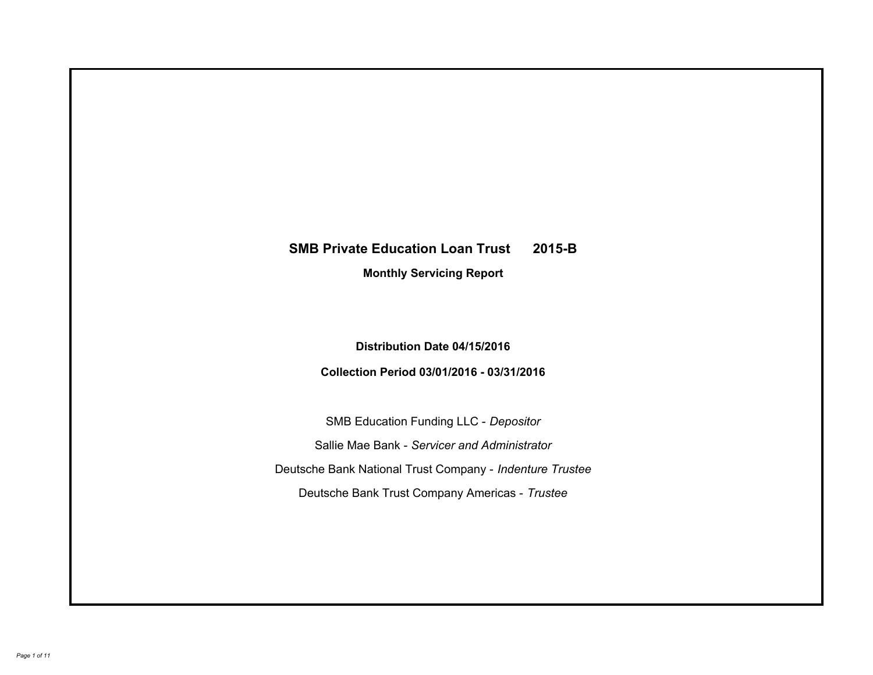# **SMB Private Education Loan Trust 2015-B Monthly Servicing Report**

## **Distribution Date 04/15/2016**

## **Collection Period 03/01/2016 - 03/31/2016**

SMB Education Funding LLC - *Depositor* Sallie Mae Bank - *Servicer and Administrator* Deutsche Bank National Trust Company - *Indenture Trustee* Deutsche Bank Trust Company Americas - *Trustee*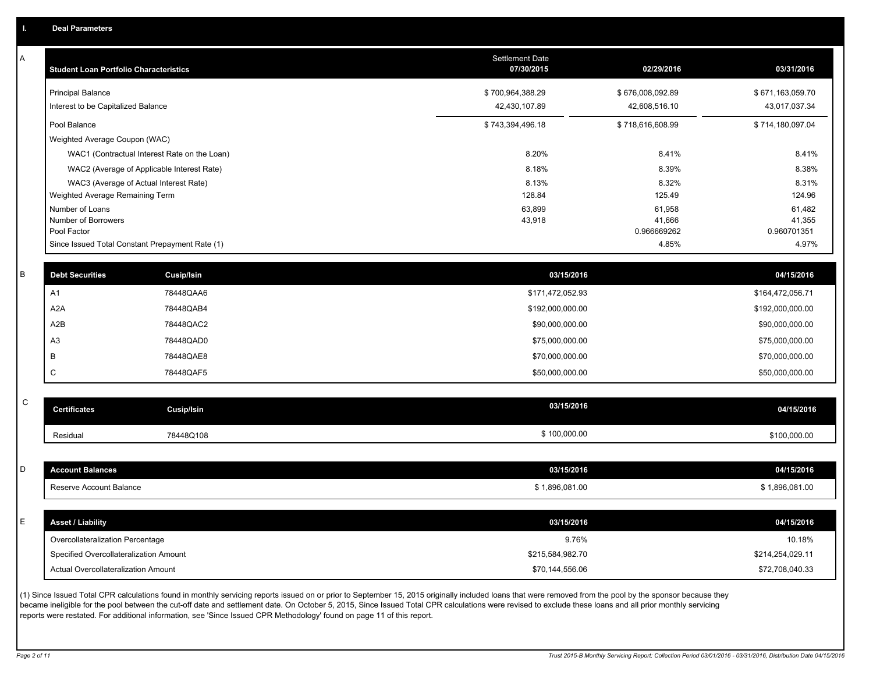| Α           | <b>Student Loan Portfolio Characteristics</b>   |                   | <b>Settlement Date</b><br>07/30/2015 | 02/29/2016            | 03/31/2016            |
|-------------|-------------------------------------------------|-------------------|--------------------------------------|-----------------------|-----------------------|
|             | <b>Principal Balance</b>                        |                   | \$700,964,388.29                     | \$676,008,092.89      | \$671,163,059.70      |
|             | Interest to be Capitalized Balance              |                   | 42,430,107.89                        | 42,608,516.10         | 43,017,037.34         |
|             | Pool Balance                                    |                   | \$743,394,496.18                     | \$718,616,608.99      | \$714,180,097.04      |
|             | Weighted Average Coupon (WAC)                   |                   |                                      |                       |                       |
|             | WAC1 (Contractual Interest Rate on the Loan)    |                   | 8.20%                                | 8.41%                 | 8.41%                 |
|             | WAC2 (Average of Applicable Interest Rate)      |                   | 8.18%                                | 8.39%                 | 8.38%                 |
|             | WAC3 (Average of Actual Interest Rate)          |                   | 8.13%                                | 8.32%                 | 8.31%                 |
|             | Weighted Average Remaining Term                 |                   | 128.84                               | 125.49                | 124.96                |
|             | Number of Loans                                 |                   | 63,899                               | 61,958                | 61,482                |
|             | Number of Borrowers<br>Pool Factor              |                   | 43,918                               | 41,666<br>0.966669262 | 41,355<br>0.960701351 |
|             | Since Issued Total Constant Prepayment Rate (1) |                   |                                      | 4.85%                 | 4.97%                 |
|             |                                                 |                   |                                      |                       |                       |
| B           | <b>Debt Securities</b>                          | <b>Cusip/Isin</b> | 03/15/2016                           |                       | 04/15/2016            |
|             | A1                                              | 78448QAA6         | \$171,472,052.93                     |                       | \$164,472,056.71      |
|             | A <sub>2</sub> A                                | 78448QAB4         | \$192,000,000.00                     |                       | \$192,000,000.00      |
|             | A2B                                             | 78448QAC2         | \$90,000,000.00                      |                       | \$90,000,000.00       |
|             | A <sub>3</sub>                                  | 78448QAD0         | \$75,000,000.00                      |                       | \$75,000,000.00       |
|             | B                                               | 78448QAE8         | \$70,000,000.00                      |                       | \$70,000,000.00       |
|             | $\mathbf C$                                     | 78448QAF5         | \$50,000,000.00                      |                       | \$50,000,000.00       |
|             |                                                 |                   |                                      |                       |                       |
| $\mathsf C$ | <b>Certificates</b>                             | <b>Cusip/Isin</b> | 03/15/2016                           |                       | 04/15/2016            |
|             | Residual                                        | 78448Q108         | \$100,000.00                         |                       | \$100,000.00          |
|             |                                                 |                   |                                      |                       |                       |
| D           | <b>Account Balances</b>                         |                   | 03/15/2016                           |                       | 04/15/2016            |
|             | Reserve Account Balance                         |                   | \$1,896,081.00                       |                       | \$1,896,081.00        |
|             |                                                 |                   |                                      |                       |                       |
| E.          | <b>Asset / Liability</b>                        |                   | 03/15/2016                           |                       | 04/15/2016            |
|             | Overcollateralization Percentage                |                   | 9.76%                                |                       | 10.18%                |
|             | Specified Overcollateralization Amount          |                   | \$215,584,982.70                     |                       | \$214,254,029.11      |
|             | Actual Overcollateralization Amount             |                   | \$70,144,556.06                      |                       | \$72,708,040.33       |

(1) Since Issued Total CPR calculations found in monthly servicing reports issued on or prior to September 15, 2015 originally included loans that were removed from the pool by the sponsor because they became ineligible for the pool between the cut-off date and settlement date. On October 5, 2015, Since Issued Total CPR calculations were revised to exclude these loans and all prior monthly servicing reports were restated. For additional information, see 'Since Issued CPR Methodology' found on page 11 of this report.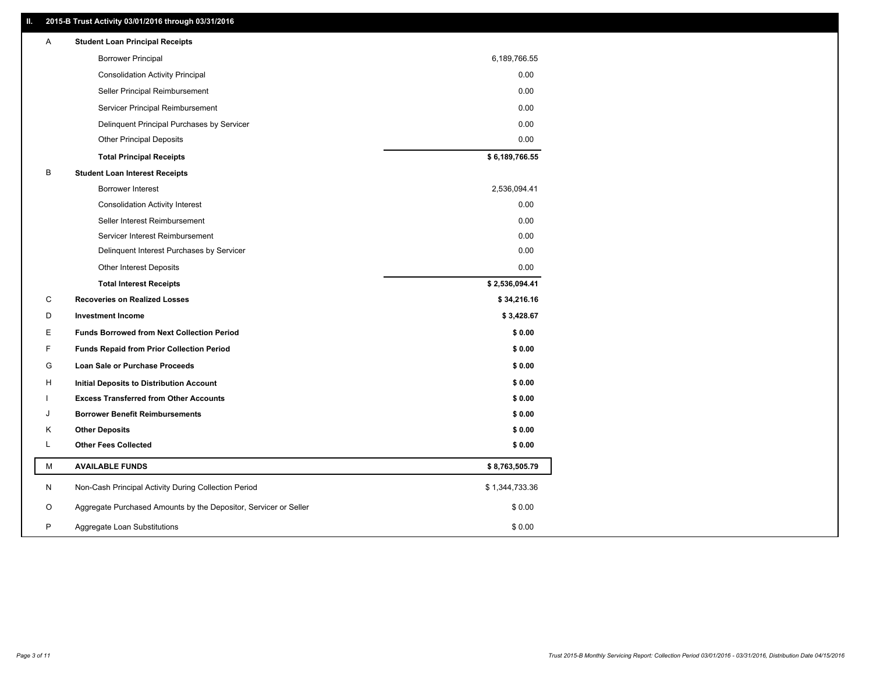### **II. 2015-B Trust Activity 03/01/2016 through 03/31/2016**

| Α | <b>Student Loan Principal Receipts</b>                           |                |  |
|---|------------------------------------------------------------------|----------------|--|
|   | <b>Borrower Principal</b>                                        | 6,189,766.55   |  |
|   | <b>Consolidation Activity Principal</b>                          | 0.00           |  |
|   | Seller Principal Reimbursement                                   | 0.00           |  |
|   | Servicer Principal Reimbursement                                 | 0.00           |  |
|   | Delinquent Principal Purchases by Servicer                       | 0.00           |  |
|   | <b>Other Principal Deposits</b>                                  | 0.00           |  |
|   | <b>Total Principal Receipts</b>                                  | \$6,189,766.55 |  |
| В | <b>Student Loan Interest Receipts</b>                            |                |  |
|   | Borrower Interest                                                | 2,536,094.41   |  |
|   | <b>Consolidation Activity Interest</b>                           | 0.00           |  |
|   | Seller Interest Reimbursement                                    | 0.00           |  |
|   | Servicer Interest Reimbursement                                  | 0.00           |  |
|   | Delinquent Interest Purchases by Servicer                        | 0.00           |  |
|   | Other Interest Deposits                                          | 0.00           |  |
|   | <b>Total Interest Receipts</b>                                   | \$2,536,094.41 |  |
| С | <b>Recoveries on Realized Losses</b>                             | \$34,216.16    |  |
| D | <b>Investment Income</b>                                         | \$3,428.67     |  |
| E | <b>Funds Borrowed from Next Collection Period</b>                | \$0.00         |  |
| F | <b>Funds Repaid from Prior Collection Period</b>                 | \$0.00         |  |
| G | Loan Sale or Purchase Proceeds                                   | \$0.00         |  |
| H | Initial Deposits to Distribution Account                         | \$0.00         |  |
|   | <b>Excess Transferred from Other Accounts</b>                    | \$0.00         |  |
| J | <b>Borrower Benefit Reimbursements</b>                           | \$0.00         |  |
| Κ | <b>Other Deposits</b>                                            | \$0.00         |  |
| L | <b>Other Fees Collected</b>                                      | \$0.00         |  |
| М | <b>AVAILABLE FUNDS</b>                                           | \$8,763,505.79 |  |
| N | Non-Cash Principal Activity During Collection Period             | \$1,344,733.36 |  |
| O | Aggregate Purchased Amounts by the Depositor, Servicer or Seller | \$0.00         |  |
| P | Aggregate Loan Substitutions                                     | \$0.00         |  |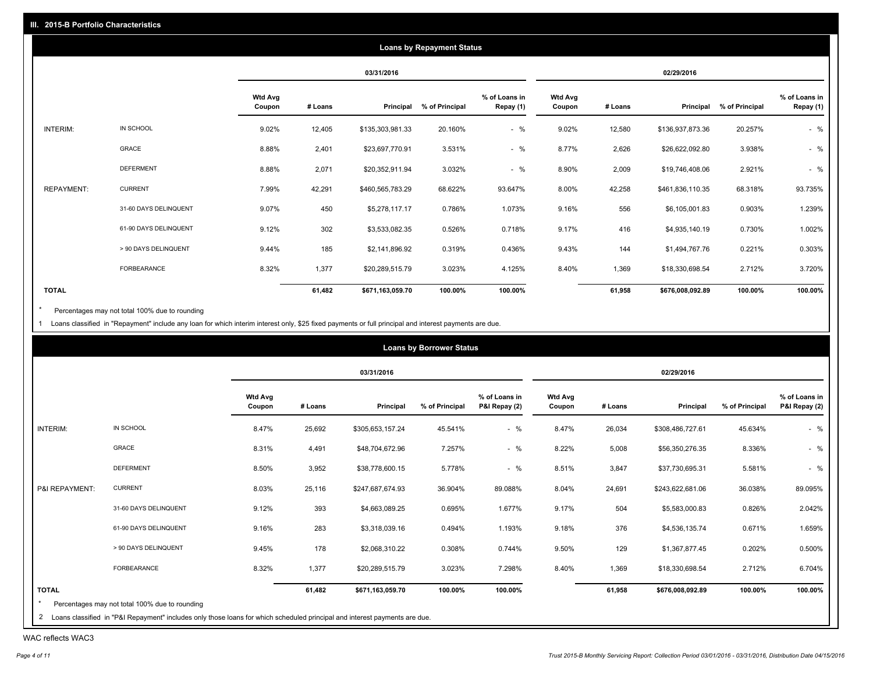|                   |                       |                          |         |                  | <b>Loans by Repayment Status</b> |                            |                          |         |                  |                |                            |
|-------------------|-----------------------|--------------------------|---------|------------------|----------------------------------|----------------------------|--------------------------|---------|------------------|----------------|----------------------------|
|                   |                       |                          |         | 03/31/2016       |                                  |                            |                          |         | 02/29/2016       |                |                            |
|                   |                       | <b>Wtd Avg</b><br>Coupon | # Loans | Principal        | % of Principal                   | % of Loans in<br>Repay (1) | <b>Wtd Avg</b><br>Coupon | # Loans | Principal        | % of Principal | % of Loans in<br>Repay (1) |
| INTERIM:          | IN SCHOOL             | 9.02%                    | 12,405  | \$135,303,981.33 | 20.160%                          | $-$ %                      | 9.02%                    | 12,580  | \$136,937,873.36 | 20.257%        | $-$ %                      |
|                   | GRACE                 | 8.88%                    | 2,401   | \$23,697,770.91  | 3.531%                           | $-$ %                      | 8.77%                    | 2,626   | \$26,622,092.80  | 3.938%         | $-$ %                      |
|                   | <b>DEFERMENT</b>      | 8.88%                    | 2,071   | \$20,352,911.94  | 3.032%                           | $-$ %                      | 8.90%                    | 2,009   | \$19,746,408.06  | 2.921%         | $-$ %                      |
| <b>REPAYMENT:</b> | <b>CURRENT</b>        | 7.99%                    | 42,291  | \$460,565,783.29 | 68.622%                          | 93.647%                    | 8.00%                    | 42,258  | \$461,836,110.35 | 68.318%        | 93.735%                    |
|                   | 31-60 DAYS DELINQUENT | 9.07%                    | 450     | \$5,278,117.17   | 0.786%                           | 1.073%                     | 9.16%                    | 556     | \$6,105,001.83   | 0.903%         | 1.239%                     |
|                   | 61-90 DAYS DELINQUENT | 9.12%                    | 302     | \$3,533,082.35   | 0.526%                           | 0.718%                     | 9.17%                    | 416     | \$4,935,140.19   | 0.730%         | 1.002%                     |
|                   | > 90 DAYS DELINQUENT  | 9.44%                    | 185     | \$2,141,896.92   | 0.319%                           | 0.436%                     | 9.43%                    | 144     | \$1,494,767.76   | 0.221%         | 0.303%                     |
|                   | FORBEARANCE           | 8.32%                    | 1,377   | \$20,289,515.79  | 3.023%                           | 4.125%                     | 8.40%                    | 1,369   | \$18,330,698.54  | 2.712%         | 3.720%                     |
| <b>TOTAL</b>      |                       |                          | 61,482  | \$671,163,059.70 | 100.00%                          | 100.00%                    |                          | 61,958  | \$676,008,092.89 | 100.00%        | 100.00%                    |

Percentages may not total 100% due to rounding  $^\star$ 

1 Loans classified in "Repayment" include any loan for which interim interest only, \$25 fixed payments or full principal and interest payments are due.

|                |                                                                                                                                   |                          |         |                  | <b>Loans by Borrower Status</b> |                                |                          |         |                  |                |                                |
|----------------|-----------------------------------------------------------------------------------------------------------------------------------|--------------------------|---------|------------------|---------------------------------|--------------------------------|--------------------------|---------|------------------|----------------|--------------------------------|
|                |                                                                                                                                   |                          |         | 03/31/2016       |                                 |                                |                          |         | 02/29/2016       |                |                                |
|                |                                                                                                                                   | <b>Wtd Avg</b><br>Coupon | # Loans | Principal        | % of Principal                  | % of Loans in<br>P&I Repay (2) | <b>Wtd Avg</b><br>Coupon | # Loans | Principal        | % of Principal | % of Loans in<br>P&I Repay (2) |
| INTERIM:       | IN SCHOOL                                                                                                                         | 8.47%                    | 25,692  | \$305,653,157.24 | 45.541%                         | $-$ %                          | 8.47%                    | 26,034  | \$308,486,727.61 | 45.634%        | $-$ %                          |
|                | GRACE                                                                                                                             | 8.31%                    | 4,491   | \$48,704,672.96  | 7.257%                          | $-$ %                          | 8.22%                    | 5,008   | \$56,350,276.35  | 8.336%         | $-$ %                          |
|                | <b>DEFERMENT</b>                                                                                                                  | 8.50%                    | 3,952   | \$38,778,600.15  | 5.778%                          | $-$ %                          | 8.51%                    | 3,847   | \$37,730,695.31  | 5.581%         | $-$ %                          |
| P&I REPAYMENT: | <b>CURRENT</b>                                                                                                                    | 8.03%                    | 25,116  | \$247,687,674.93 | 36.904%                         | 89.088%                        | 8.04%                    | 24,691  | \$243,622,681.06 | 36.038%        | 89.095%                        |
|                | 31-60 DAYS DELINQUENT                                                                                                             | 9.12%                    | 393     | \$4,663,089.25   | 0.695%                          | 1.677%                         | 9.17%                    | 504     | \$5,583,000.83   | 0.826%         | 2.042%                         |
|                | 61-90 DAYS DELINQUENT                                                                                                             | 9.16%                    | 283     | \$3,318,039.16   | 0.494%                          | 1.193%                         | 9.18%                    | 376     | \$4,536,135.74   | 0.671%         | 1.659%                         |
|                | > 90 DAYS DELINQUENT                                                                                                              | 9.45%                    | 178     | \$2,068,310.22   | 0.308%                          | 0.744%                         | 9.50%                    | 129     | \$1,367,877.45   | 0.202%         | 0.500%                         |
|                | FORBEARANCE                                                                                                                       | 8.32%                    | 1,377   | \$20,289,515.79  | 3.023%                          | 7.298%                         | 8.40%                    | 1,369   | \$18,330,698.54  | 2.712%         | 6.704%                         |
| <b>TOTAL</b>   |                                                                                                                                   |                          | 61,482  | \$671,163,059.70 | 100.00%                         | 100.00%                        |                          | 61,958  | \$676,008,092.89 | 100.00%        | 100.00%                        |
|                | Percentages may not total 100% due to rounding<br>the contract of the contract of the contract of the contract of the contract of |                          |         |                  |                                 |                                |                          |         |                  |                |                                |

| 2 Loans classified in "P&I Repayment" includes only those loans for which scheduled principal and interest payments are due.

WAC reflects WAC3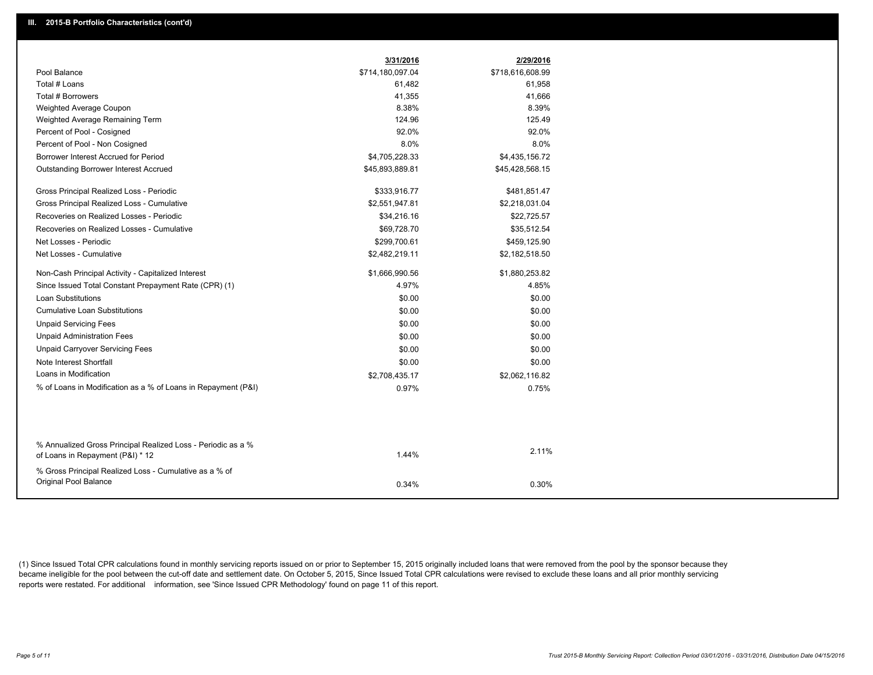|                                                               | 3/31/2016        | 2/29/2016        |
|---------------------------------------------------------------|------------------|------------------|
| Pool Balance                                                  | \$714,180,097.04 | \$718,616,608.99 |
| Total # Loans                                                 | 61,482           | 61,958           |
| Total # Borrowers                                             | 41,355           | 41,666           |
| Weighted Average Coupon                                       | 8.38%            | 8.39%            |
| Weighted Average Remaining Term                               | 124.96           | 125.49           |
| Percent of Pool - Cosigned                                    | 92.0%            | 92.0%            |
| Percent of Pool - Non Cosigned                                | 8.0%             | 8.0%             |
| Borrower Interest Accrued for Period                          | \$4,705,228.33   | \$4,435,156.72   |
| Outstanding Borrower Interest Accrued                         | \$45,893,889.81  | \$45,428,568.15  |
| Gross Principal Realized Loss - Periodic                      | \$333,916.77     | \$481,851.47     |
| Gross Principal Realized Loss - Cumulative                    | \$2,551,947.81   | \$2,218,031.04   |
| Recoveries on Realized Losses - Periodic                      | \$34,216.16      | \$22,725.57      |
| Recoveries on Realized Losses - Cumulative                    | \$69,728.70      | \$35,512.54      |
| Net Losses - Periodic                                         | \$299,700.61     | \$459,125.90     |
| Net Losses - Cumulative                                       | \$2,482,219.11   | \$2,182,518.50   |
| Non-Cash Principal Activity - Capitalized Interest            | \$1,666,990.56   | \$1,880,253.82   |
| Since Issued Total Constant Prepayment Rate (CPR) (1)         | 4.97%            | 4.85%            |
| <b>Loan Substitutions</b>                                     | \$0.00           | \$0.00           |
| <b>Cumulative Loan Substitutions</b>                          | \$0.00           | \$0.00           |
| <b>Unpaid Servicing Fees</b>                                  | \$0.00           | \$0.00           |
| <b>Unpaid Administration Fees</b>                             | \$0.00           | \$0.00           |
| <b>Unpaid Carryover Servicing Fees</b>                        | \$0.00           | \$0.00           |
| Note Interest Shortfall                                       | \$0.00           | \$0.00           |
| Loans in Modification                                         | \$2,708,435.17   | \$2,062,116.82   |
| % of Loans in Modification as a % of Loans in Repayment (P&I) | 0.97%            | 0.75%            |
|                                                               |                  |                  |
| % Annualized Gross Principal Realized Loss - Periodic as a %  |                  |                  |
| of Loans in Repayment (P&I) * 12                              | 1.44%            | 2.11%            |
| % Gross Principal Realized Loss - Cumulative as a % of        |                  |                  |
| Original Pool Balance                                         | 0.34%            | 0.30%            |

(1) Since Issued Total CPR calculations found in monthly servicing reports issued on or prior to September 15, 2015 originally included loans that were removed from the pool by the sponsor because they became ineligible for the pool between the cut-off date and settlement date. On October 5, 2015, Since Issued Total CPR calculations were revised to exclude these loans and all prior monthly servicing reports were restated. For additional information, see 'Since Issued CPR Methodology' found on page 11 of this report.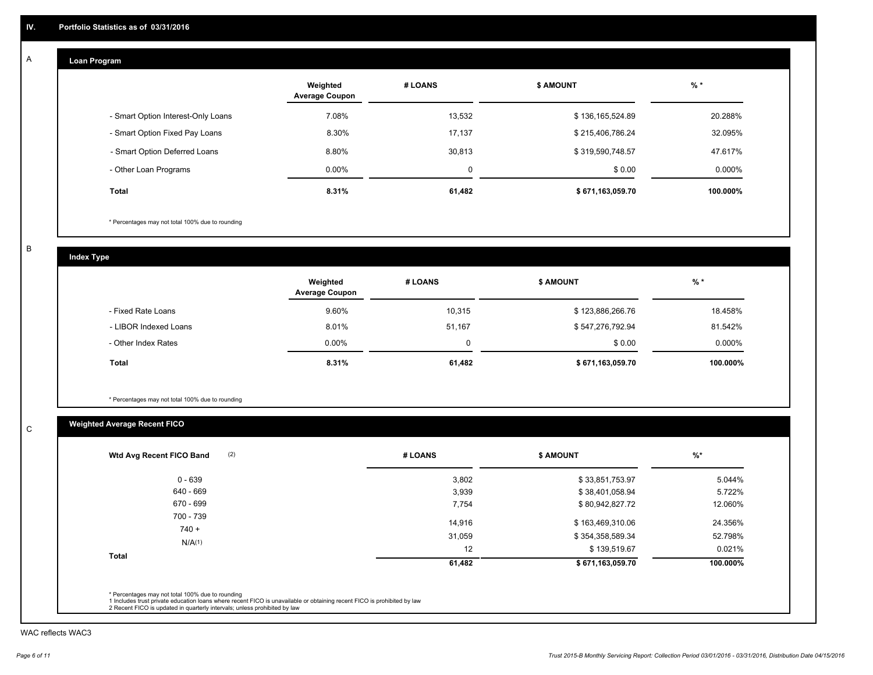#### **Loan Program**  A

|                                    | Weighted<br><b>Average Coupon</b> | # LOANS | <b>\$ AMOUNT</b> | $%$ *    |
|------------------------------------|-----------------------------------|---------|------------------|----------|
| - Smart Option Interest-Only Loans | 7.08%                             | 13,532  | \$136,165,524.89 | 20.288%  |
| - Smart Option Fixed Pay Loans     | 8.30%                             | 17,137  | \$215,406,786.24 | 32.095%  |
| - Smart Option Deferred Loans      | 8.80%                             | 30,813  | \$319,590,748.57 | 47.617%  |
| - Other Loan Programs              | $0.00\%$                          | 0       | \$0.00           | 0.000%   |
| <b>Total</b>                       | 8.31%                             | 61,482  | \$671,163,059.70 | 100.000% |

\* Percentages may not total 100% due to rounding

B

C

**Index Type**

|                       | Weighted<br><b>Average Coupon</b> | # LOANS | <b>\$ AMOUNT</b> | $%$ *    |
|-----------------------|-----------------------------------|---------|------------------|----------|
| - Fixed Rate Loans    | 9.60%                             | 10,315  | \$123,886,266.76 | 18.458%  |
| - LIBOR Indexed Loans | 8.01%                             | 51,167  | \$547,276,792.94 | 81.542%  |
| - Other Index Rates   | $0.00\%$                          |         | \$0.00           | 0.000%   |
| Total                 | 8.31%                             | 61,482  | \$671,163,059.70 | 100.000% |

\* Percentages may not total 100% due to rounding

## **Weighted Average Recent FICO**

| # LOANS | <b>\$ AMOUNT</b> | $%$ *    |
|---------|------------------|----------|
| 3,802   | \$33,851,753.97  | 5.044%   |
| 3,939   | \$38,401,058.94  | 5.722%   |
| 7,754   | \$80,942,827.72  | 12.060%  |
| 14,916  | \$163,469,310.06 | 24.356%  |
| 31,059  | \$354,358,589.34 | 52.798%  |
| 12      | \$139,519.67     | 0.021%   |
| 61,482  | \$671,163,059.70 | 100.000% |
|         |                  |          |

WAC reflects WAC3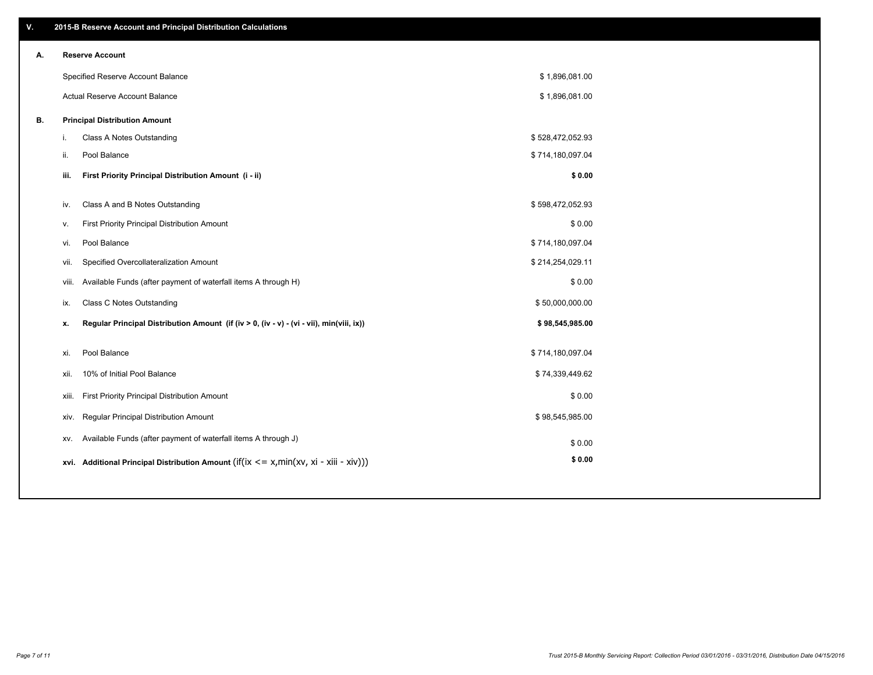| ۷. |       | 2015-B Reserve Account and Principal Distribution Calculations                             |                  |  |
|----|-------|--------------------------------------------------------------------------------------------|------------------|--|
| А. |       | <b>Reserve Account</b>                                                                     |                  |  |
|    |       | Specified Reserve Account Balance                                                          | \$1,896,081.00   |  |
|    |       | Actual Reserve Account Balance                                                             | \$1,896,081.00   |  |
| В. |       | <b>Principal Distribution Amount</b>                                                       |                  |  |
|    | j.    | Class A Notes Outstanding                                                                  | \$528,472,052.93 |  |
|    | ii.   | Pool Balance                                                                               | \$714,180,097.04 |  |
|    | iii.  | First Priority Principal Distribution Amount (i - ii)                                      | \$0.00           |  |
|    |       |                                                                                            |                  |  |
|    | iv.   | Class A and B Notes Outstanding                                                            | \$598,472,052.93 |  |
|    | v.    | First Priority Principal Distribution Amount                                               | \$0.00           |  |
|    | vi.   | Pool Balance                                                                               | \$714,180,097.04 |  |
|    | vii.  | Specified Overcollateralization Amount                                                     | \$214,254,029.11 |  |
|    |       | Available Funds (after payment of waterfall items A through H)<br>viii.                    | \$0.00           |  |
|    | ix.   | <b>Class C Notes Outstanding</b>                                                           | \$50,000,000.00  |  |
|    | x.    | Regular Principal Distribution Amount (if (iv > 0, (iv - v) - (vi - vii), min(viii, ix))   | \$98,545,985.00  |  |
|    | xi.   | Pool Balance                                                                               | \$714,180,097.04 |  |
|    |       |                                                                                            |                  |  |
|    | xii.  | 10% of Initial Pool Balance                                                                | \$74,339,449.62  |  |
|    | xiii. | First Priority Principal Distribution Amount                                               | \$0.00           |  |
|    | xiv.  | <b>Regular Principal Distribution Amount</b>                                               | \$98,545,985.00  |  |
|    | XV.   | Available Funds (after payment of waterfall items A through J)                             | \$0.00           |  |
|    |       | xvi. Additional Principal Distribution Amount (if(ix $\lt$ = x, min(xv, xi - xiii - xiv))) | \$0.00           |  |
|    |       |                                                                                            |                  |  |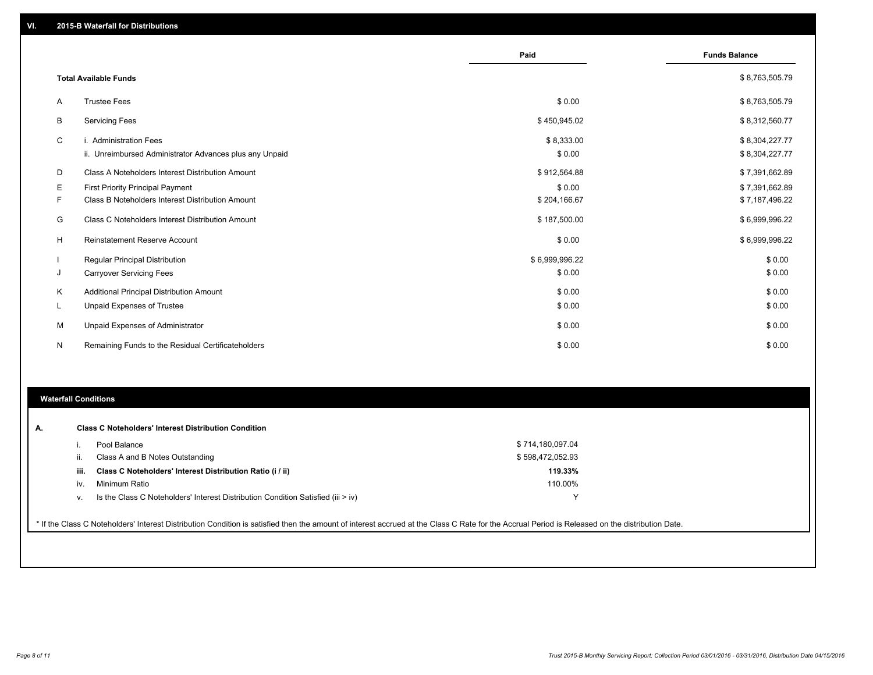|    |                                                                                   | Paid                 | <b>Funds Balance</b>             |
|----|-----------------------------------------------------------------------------------|----------------------|----------------------------------|
|    | <b>Total Available Funds</b>                                                      |                      | \$8,763,505.79                   |
| A  | <b>Trustee Fees</b>                                                               | \$0.00               | \$8,763,505.79                   |
| B  | <b>Servicing Fees</b>                                                             | \$450,945.02         | \$8,312,560.77                   |
| C  | i. Administration Fees<br>ii. Unreimbursed Administrator Advances plus any Unpaid | \$8,333.00<br>\$0.00 | \$8,304,227.77<br>\$8,304,227.77 |
| D  | Class A Noteholders Interest Distribution Amount                                  | \$912,564.88         | \$7,391,662.89                   |
| Ε  | <b>First Priority Principal Payment</b>                                           | \$0.00               | \$7,391,662.89                   |
| F  | Class B Noteholders Interest Distribution Amount                                  | \$204,166.67         | \$7,187,496.22                   |
| G  | Class C Noteholders Interest Distribution Amount                                  | \$187,500.00         | \$6,999,996.22                   |
| н  | <b>Reinstatement Reserve Account</b>                                              | \$0.00               | \$6,999,996.22                   |
|    | <b>Regular Principal Distribution</b>                                             | \$6,999,996.22       | \$0.00                           |
| J  | <b>Carryover Servicing Fees</b>                                                   | \$0.00               | \$0.00                           |
| Κ  | Additional Principal Distribution Amount                                          | \$0.00               | \$0.00                           |
| L. | Unpaid Expenses of Trustee                                                        | \$0.00               | \$0.00                           |
| М  | Unpaid Expenses of Administrator                                                  | \$0.00               | \$0.00                           |
| N  | Remaining Funds to the Residual Certificateholders                                | \$0.00               | \$0.00                           |

#### **Waterfall Conditions**

| А. | <b>Class C Noteholders' Interest Distribution Condition</b> |                                                                                  |                  |  |  |
|----|-------------------------------------------------------------|----------------------------------------------------------------------------------|------------------|--|--|
|    |                                                             | Pool Balance                                                                     | \$714,180,097.04 |  |  |
|    | ш.                                                          | Class A and B Notes Outstanding                                                  | \$598,472,052.93 |  |  |
|    | iii.                                                        | Class C Noteholders' Interest Distribution Ratio (i / ii)                        | 119.33%          |  |  |
|    | IV.                                                         | Minimum Ratio                                                                    | 110.00%          |  |  |
|    | V.                                                          | Is the Class C Noteholders' Interest Distribution Condition Satisfied (iii > iv) |                  |  |  |
|    |                                                             |                                                                                  |                  |  |  |

\* If the Class C Noteholders' Interest Distribution Condition is satisfied then the amount of interest accrued at the Class C Rate for the Accrual Period is Released on the distribution Date.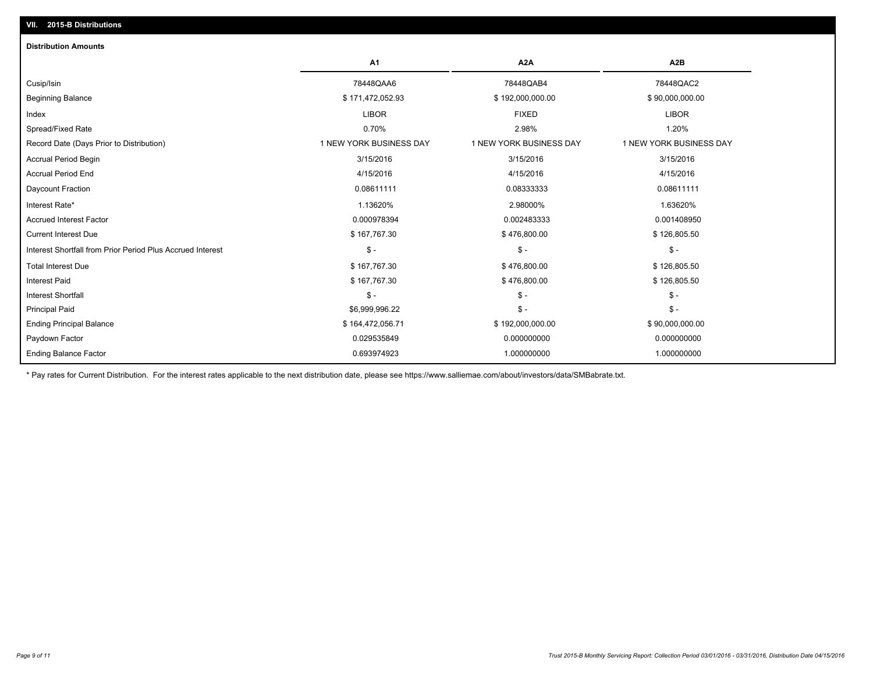| <b>Distribution Amounts</b>                                |                         |                         |                         |
|------------------------------------------------------------|-------------------------|-------------------------|-------------------------|
|                                                            | A <sub>1</sub>          | A <sub>2</sub> A        | A <sub>2</sub> B        |
| Cusip/Isin                                                 | 78448QAA6               | 78448QAB4               | 78448QAC2               |
| <b>Beginning Balance</b>                                   | \$171,472,052.93        | \$192,000,000.00        | \$90,000,000.00         |
| Index                                                      | <b>LIBOR</b>            | <b>FIXED</b>            | <b>LIBOR</b>            |
| Spread/Fixed Rate                                          | 0.70%                   | 2.98%                   | 1.20%                   |
| Record Date (Days Prior to Distribution)                   | 1 NEW YORK BUSINESS DAY | 1 NEW YORK BUSINESS DAY | 1 NEW YORK BUSINESS DAY |
| <b>Accrual Period Begin</b>                                | 3/15/2016               | 3/15/2016               | 3/15/2016               |
| <b>Accrual Period End</b>                                  | 4/15/2016               | 4/15/2016               | 4/15/2016               |
| Daycount Fraction                                          | 0.08611111              | 0.08333333              | 0.08611111              |
| Interest Rate*                                             | 1.13620%                | 2.98000%                | 1.63620%                |
| <b>Accrued Interest Factor</b>                             | 0.000978394             | 0.002483333             | 0.001408950             |
| <b>Current Interest Due</b>                                | \$167,767.30            | \$476,800.00            | \$126,805.50            |
| Interest Shortfall from Prior Period Plus Accrued Interest | $\mathsf{\$}$ -         | $\frac{1}{2}$           | $\mathsf{\$}$ -         |
| <b>Total Interest Due</b>                                  | \$167,767.30            | \$476,800.00            | \$126,805.50            |
| <b>Interest Paid</b>                                       | \$167,767.30            | \$476,800.00            | \$126,805.50            |
| <b>Interest Shortfall</b>                                  | $\mathsf{\$}$ -         | $\frac{2}{3}$ -         | $\mathsf{\$}$ -         |
| <b>Principal Paid</b>                                      | \$6,999,996.22          | $\frac{2}{3}$ -         | $\mathsf{\$}$ -         |
| <b>Ending Principal Balance</b>                            | \$164,472,056.71        | \$192,000,000.00        | \$90,000,000.00         |
| Paydown Factor                                             | 0.029535849             | 0.000000000             | 0.000000000             |
| <b>Ending Balance Factor</b>                               | 0.693974923             | 1.000000000             | 1.000000000             |

\* Pay rates for Current Distribution. For the interest rates applicable to the next distribution date, please see https://www.salliemae.com/about/investors/data/SMBabrate.txt.

**VII. 2015-B Distributions**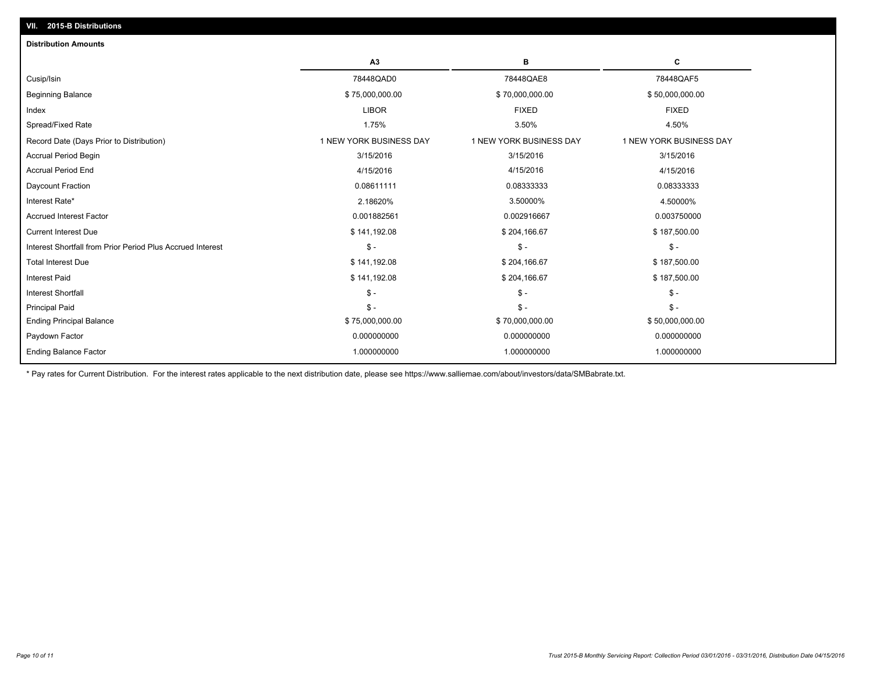| <b>Distribution Amounts</b>                                |                         |                         |                         |
|------------------------------------------------------------|-------------------------|-------------------------|-------------------------|
|                                                            | A <sub>3</sub>          | в                       | С                       |
| Cusip/Isin                                                 | 78448QAD0               | 78448QAE8               | 78448QAF5               |
| <b>Beginning Balance</b>                                   | \$75,000,000.00         | \$70,000,000.00         | \$50,000,000.00         |
| Index                                                      | <b>LIBOR</b>            | <b>FIXED</b>            | <b>FIXED</b>            |
| Spread/Fixed Rate                                          | 1.75%                   | 3.50%                   | 4.50%                   |
| Record Date (Days Prior to Distribution)                   | 1 NEW YORK BUSINESS DAY | 1 NEW YORK BUSINESS DAY | 1 NEW YORK BUSINESS DAY |
| <b>Accrual Period Begin</b>                                | 3/15/2016               | 3/15/2016               | 3/15/2016               |
| <b>Accrual Period End</b>                                  | 4/15/2016               | 4/15/2016               | 4/15/2016               |
| Daycount Fraction                                          | 0.08611111              | 0.08333333              | 0.08333333              |
| Interest Rate*                                             | 2.18620%                | 3.50000%                | 4.50000%                |
| <b>Accrued Interest Factor</b>                             | 0.001882561             | 0.002916667             | 0.003750000             |
| <b>Current Interest Due</b>                                | \$141,192.08            | \$204,166.67            | \$187,500.00            |
| Interest Shortfall from Prior Period Plus Accrued Interest | $\mathsf{\$}$ .         | $\mathsf{\$}$ -         | $\mathsf{\$}$ -         |
| <b>Total Interest Due</b>                                  | \$141,192.08            | \$204,166.67            | \$187,500.00            |
| Interest Paid                                              | \$141,192.08            | \$204,166.67            | \$187,500.00            |
| <b>Interest Shortfall</b>                                  | $\mathsf{\$}$ -         | $\mathsf{\$}$ -         | $\mathsf{\$}$ -         |
| <b>Principal Paid</b>                                      | $\mathsf{\$}$ -         | $\mathsf{\$}$ -         | $S -$                   |
| <b>Ending Principal Balance</b>                            | \$75,000,000.00         | \$70,000,000.00         | \$50,000,000.00         |
| Paydown Factor                                             | 0.000000000             | 0.000000000             | 0.000000000             |
| <b>Ending Balance Factor</b>                               | 1.000000000             | 1.000000000             | 1.000000000             |
|                                                            |                         |                         |                         |

\* Pay rates for Current Distribution. For the interest rates applicable to the next distribution date, please see https://www.salliemae.com/about/investors/data/SMBabrate.txt.

**VII. 2015-B Distributions**